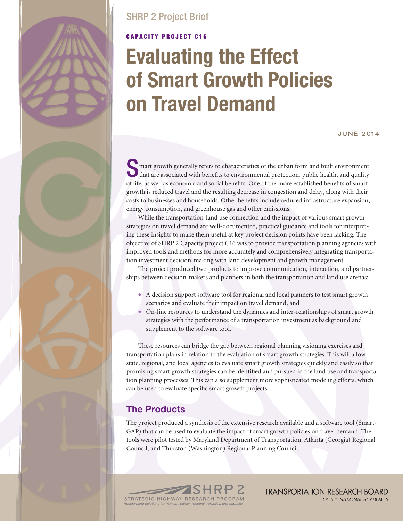# SHRP 2 Project Brief

## **CAPACITY PROJECT C16**

# **Evaluating the Effect of Smart Growth Policies on Travel Demand**

June 2014

Smart growth generally refers to characteristics of the urban form and built environment That are associated with benefits to environmental protection, public health, and quality of life, as well as economic and social benefits. One of the more established benefits of smart growth is reduced travel and the resulting decrease in congestion and delay, along with their costs to businesses and households. Other benefits include reduced infrastructure expansion, energy consumption, and greenhouse gas and other emissions.

While the transportation-land use connection and the impact of various smart growth strategies on travel demand are well-documented, practical guidance and tools for interpreting these insights to make them useful at key project decision points have been lacking. The objective of SHRP 2 Capacity project C16 was to provide transportation planning agencies with improved tools and methods for more accurately and comprehensively integrating transportation investment decision-making with land development and growth management.

The project produced two products to improve communication, interaction, and partnerships between decision-makers and planners in both the transportation and land use arenas:

- A decision support software tool for regional and local planners to test smart growth scenarios and evaluate their impact on travel demand, and
- On-line resources to understand the dynamics and inter-relationships of smart growth strategies with the performance of a transportation investment as background and supplement to the software tool.

These resources can bridge the gap between regional planning visioning exercises and transportation plans in relation to the evaluation of smart growth strategies. This will allow state, regional, and local agencies to evaluate smart growth strategies quickly and easily so that promising smart growth strategies can be identified and pursued in the land use and transportation planning processes. This can also supplement more sophisticated modeling efforts, which can be used to evaluate specific smart growth projects.

## **The Products**

The project produced a synthesis of the extensive research available and a software tool (Smart-GAP) that can be used to evaluate the impact of smart growth policies on travel demand. The tools were pilot tested by Maryland Department of Transportation, Atlanta (Georgia) Regional Council, and Thurston (Washington) Regional Planning Council.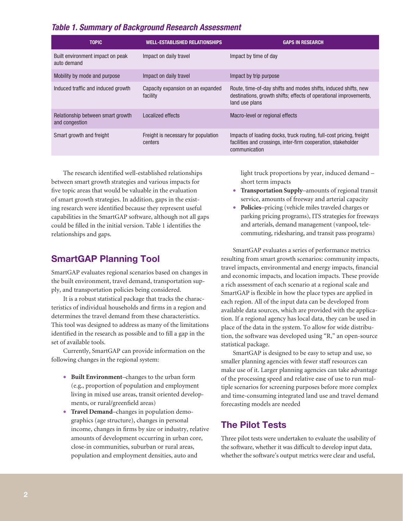#### *Table 1. Summary of Background Research Assessment*

| <b>TOPIC</b>                                        | <b>WELL-ESTABLISHED RELATIONSHIPS</b>          | <b>GAPS IN RESEARCH</b>                                                                                                                                |
|-----------------------------------------------------|------------------------------------------------|--------------------------------------------------------------------------------------------------------------------------------------------------------|
| Built environment impact on peak<br>auto demand     | Impact on daily travel                         | Impact by time of day                                                                                                                                  |
| Mobility by mode and purpose                        | Impact on daily travel                         | Impact by trip purpose                                                                                                                                 |
| Induced traffic and induced growth                  | Capacity expansion on an expanded<br>facility  | Route, time-of-day shifts and modes shifts, induced shifts, new<br>destinations, growth shifts; effects of operational improvements,<br>land use plans |
| Relationship between smart growth<br>and congestion | Localized effects                              | Macro-level or regional effects                                                                                                                        |
| Smart growth and freight                            | Freight is necessary for population<br>centers | Impacts of loading docks, truck routing, full-cost pricing, freight<br>facilities and crossings, inter-firm cooperation, stakeholder<br>communication  |

The research identified well-established relationships between smart growth strategies and various impacts for five topic areas that would be valuable in the evaluation of smart growth strategies. In addition, gaps in the existing research were identified because they represent useful capabilities in the SmartGAP software, although not all gaps could be filled in the initial version. Table 1 identifies the relationships and gaps.

#### **SmartGAP Planning Tool**

SmartGAP evaluates regional scenarios based on changes in the built environment, travel demand, transportation supply, and transportation policies being considered.

It is a robust statistical package that tracks the characteristics of individual households and firms in a region and determines the travel demand from these characteristics. This tool was designed to address as many of the limitations identified in the research as possible and to fill a gap in the set of available tools.

Currently, SmartGAP can provide information on the following changes in the regional system:

- **Built Environment**–changes to the urban form (e.g., proportion of population and employment living in mixed use areas, transit oriented developments, or rural/greenfield areas)
- **Travel Demand**–changes in population demographics (age structure), changes in personal income, changes in firms by size or industry, relative amounts of development occurring in urban core, close-in communities, suburban or rural areas, population and employment densities, auto and

light truck proportions by year, induced demand – short term impacts

- **Transportation Supply**–amounts of regional transit service, amounts of freeway and arterial capacity
- **Policies**–pricing (vehicle miles traveled charges or parking pricing programs), ITS strategies for freeways and arterials, demand management (vanpool, telecommuting, ridesharing, and transit pass programs)

SmartGAP evaluates a series of performance metrics resulting from smart growth scenarios: community impacts, travel impacts, environmental and energy impacts, financial and economic impacts, and location impacts. These provide a rich assessment of each scenario at a regional scale and SmartGAP is flexible in how the place types are applied in each region. All of the input data can be developed from available data sources, which are provided with the application. If a regional agency has local data, they can be used in place of the data in the system. To allow for wide distribution, the software was developed using "R," an open-source statistical package.

SmartGAP is designed to be easy to setup and use, so smaller planning agencies with fewer staff resources can make use of it. Larger planning agencies can take advantage of the processing speed and relative ease of use to run multiple scenarios for screening purposes before more complex and time-consuming integrated land use and travel demand forecasting models are needed

### **The Pilot Tests**

Three pilot tests were undertaken to evaluate the usability of the software, whether it was difficult to develop input data, whether the software's output metrics were clear and useful,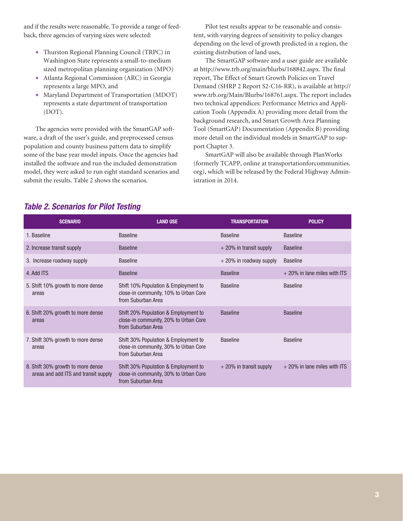and if the results were reasonable. To provide a range of feedback, three agencies of varying sizes were selected:

- Thurston Regional Planning Council (TRPC) in Washington State represents a small-to-medium sized metropolitan planning organization (MPO)
- Atlanta Regional Commission (ARC) in Georgia represents a large MPO, and
- Maryland Department of Transportation (MDOT) represents a state department of transportation (DOT).

The agencies were provided with the SmartGAP software, a draft of the user's guide, and preprocessed census population and county business pattern data to simplify some of the base year model inputs. Once the agencies had installed the software and run the included demonstration model, they were asked to run eight standard scenarios and submit the results. Table 2 shows the scenarios.

Pilot test results appear to be reasonable and consistent, with varying degrees of sensitivity to policy changes depending on the level of growth predicted in a region, the existing distribution of land uses,

The SmartGAP software and a user guide are available at http://www.trb.org/main/blurbs/168842.aspx. The final report, The Effect of Smart Growth Policies on Travel Demand (SHRP 2 Report S2-C16-RR), is available at http:// www.trb.org/Main/Blurbs/168761.aspx. The report includes two technical appendices: Performance Metrics and Application Tools (Appendix A) providing more detail from the background research, and Smart Growth Area Planning Tool (SmartGAP) Documentation (Appendix B) providing more detail on the individual models in SmartGAP to support Chapter 3.

SmartGAP will also be available through PlanWorks (formerly TCAPP, online at transportationforcommunities. org), which will be released by the Federal Highway Administration in 2014.

#### *Table 2. Scenarios for Pilot Testing*

| <b>SCENARIO</b>                                                           | <b>LAND USE</b>                                                                                     | <b>TRANSPORTATION</b>     | <b>POLICY</b>                  |
|---------------------------------------------------------------------------|-----------------------------------------------------------------------------------------------------|---------------------------|--------------------------------|
| 1. Baseline                                                               | <b>Baseline</b>                                                                                     | <b>Baseline</b>           | <b>Baseline</b>                |
| 2. Increase transit supply                                                | <b>Baseline</b>                                                                                     | $+20\%$ in transit supply | <b>Baseline</b>                |
| 3. Increase roadway supply                                                | <b>Baseline</b>                                                                                     | + 20% in roadway supply   | <b>Baseline</b>                |
| 4. Add ITS                                                                | <b>Baseline</b>                                                                                     | <b>Baseline</b>           | $+20\%$ in lane miles with ITS |
| 5. Shift 10% growth to more dense<br>areas                                | Shift 10% Population & Employment to<br>close-in community, 10% to Urban Core<br>from Suburban Area | <b>Baseline</b>           | <b>Baseline</b>                |
| 6. Shift 20% growth to more dense<br>areas                                | Shift 20% Population & Employment to<br>close-in community, 20% to Urban Core<br>from Suburban Area | <b>Baseline</b>           | <b>Baseline</b>                |
| 7. Shift 30% growth to more dense<br>areas                                | Shift 30% Population & Employment to<br>close-in community, 30% to Urban Core<br>from Suburban Area | <b>Baseline</b>           | <b>Baseline</b>                |
| 8. Shift 30% growth to more dense<br>areas and add ITS and transit supply | Shift 30% Population & Employment to<br>close-in community, 30% to Urban Core<br>from Suburban Area | $+20\%$ in transit supply | $+20\%$ in lane miles with ITS |